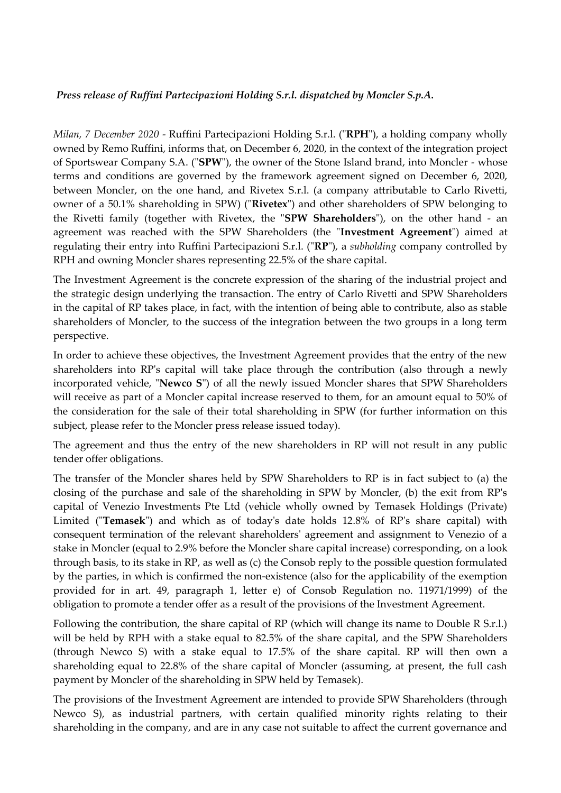## *Press release of Ruffini Partecipazioni Holding S.r.l. dispatched by Moncler S.p.A.*

*Milan, 7 December 2020* - Ruffini Partecipazioni Holding S.r.l. ("**RPH**"), a holding company wholly owned by Remo Ruffini, informs that, on December 6, 2020, in the context of the integration project of Sportswear Company S.A. ("**SPW**"), the owner of the Stone Island brand, into Moncler - whose terms and conditions are governed by the framework agreement signed on December 6, 2020, between Moncler, on the one hand, and Rivetex S.r.l. (a company attributable to Carlo Rivetti, owner of a 50.1% shareholding in SPW) ("**Rivetex**") and other shareholders of SPW belonging to the Rivetti family (together with Rivetex, the "**SPW Shareholders**"), on the other hand - an agreement was reached with the SPW Shareholders (the "**Investment Agreement**") aimed at regulating their entry into Ruffini Partecipazioni S.r.l. ("**RP**"), a *subholding* company controlled by RPH and owning Moncler shares representing 22.5% of the share capital.

The Investment Agreement is the concrete expression of the sharing of the industrial project and the strategic design underlying the transaction. The entry of Carlo Rivetti and SPW Shareholders in the capital of RP takes place, in fact, with the intention of being able to contribute, also as stable shareholders of Moncler, to the success of the integration between the two groups in a long term perspective.

In order to achieve these objectives, the Investment Agreement provides that the entry of the new shareholders into RP's capital will take place through the contribution (also through a newly incorporated vehicle, "**Newco S**") of all the newly issued Moncler shares that SPW Shareholders will receive as part of a Moncler capital increase reserved to them, for an amount equal to 50% of the consideration for the sale of their total shareholding in SPW (for further information on this subject, please refer to the Moncler press release issued today).

The agreement and thus the entry of the new shareholders in RP will not result in any public tender offer obligations.

The transfer of the Moncler shares held by SPW Shareholders to RP is in fact subject to (a) the closing of the purchase and sale of the shareholding in SPW by Moncler, (b) the exit from RP's capital of Venezio Investments Pte Ltd (vehicle wholly owned by Temasek Holdings (Private) Limited ("**Temasek**") and which as of today's date holds 12.8% of RP's share capital) with consequent termination of the relevant shareholders' agreement and assignment to Venezio of a stake in Moncler (equal to 2.9% before the Moncler share capital increase) corresponding, on a look through basis, to its stake in RP, as well as (c) the Consob reply to the possible question formulated by the parties, in which is confirmed the non-existence (also for the applicability of the exemption provided for in art. 49, paragraph 1, letter e) of Consob Regulation no. 11971/1999) of the obligation to promote a tender offer as a result of the provisions of the Investment Agreement.

Following the contribution, the share capital of RP (which will change its name to Double R S.r.l.) will be held by RPH with a stake equal to 82.5% of the share capital, and the SPW Shareholders (through Newco S) with a stake equal to 17.5% of the share capital. RP will then own a shareholding equal to 22.8% of the share capital of Moncler (assuming, at present, the full cash payment by Moncler of the shareholding in SPW held by Temasek).

The provisions of the Investment Agreement are intended to provide SPW Shareholders (through Newco S), as industrial partners, with certain qualified minority rights relating to their shareholding in the company, and are in any case not suitable to affect the current governance and